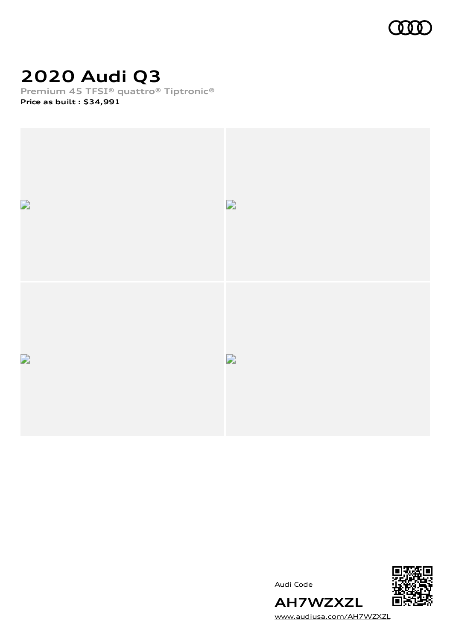

# **2020 Audi Q3**

**Premium 45 TFSI® quattro® Tiptronic®**

**Price as built [:](#page-10-0) \$34,991**



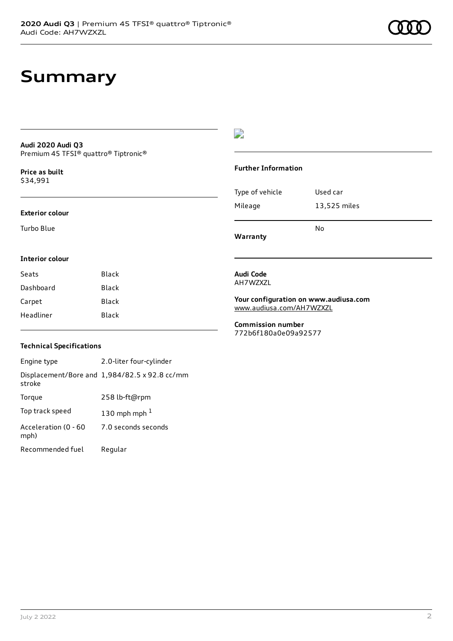## **Summary**

### **Audi 2020 Audi Q3** Premium 45 TFSI® quattro® Tiptronic®

**Price as buil[t](#page-10-0)** \$34,991

### **Exterior colour**

Turbo Blue

## $\overline{\phantom{a}}$

### **Further Information**

|                 | N٥           |
|-----------------|--------------|
| Mileage         | 13,525 miles |
| Type of vehicle | Used car     |

**Warranty**

## **Interior colour**

| Seats     | Black |
|-----------|-------|
| Dashboard | Black |
| Carpet    | Black |
| Headliner | Black |

### **Audi Code** AH7WZXZL

**Your configuration on www.audiusa.com**

[www.audiusa.com/AH7WZXZL](https://www.audiusa.com/AH7WZXZL)

### **Commission number** 772b6f180a0e09a92577

## **Technical Specifications**

| Engine type                  | 2.0-liter four-cylinder                       |
|------------------------------|-----------------------------------------------|
| stroke                       | Displacement/Bore and 1,984/82.5 x 92.8 cc/mm |
| Torque                       | 258 lb-ft@rpm                                 |
| Top track speed              | 130 mph mph $1$                               |
| Acceleration (0 - 60<br>mph) | 7.0 seconds seconds                           |
| Recommended fuel             | Regular                                       |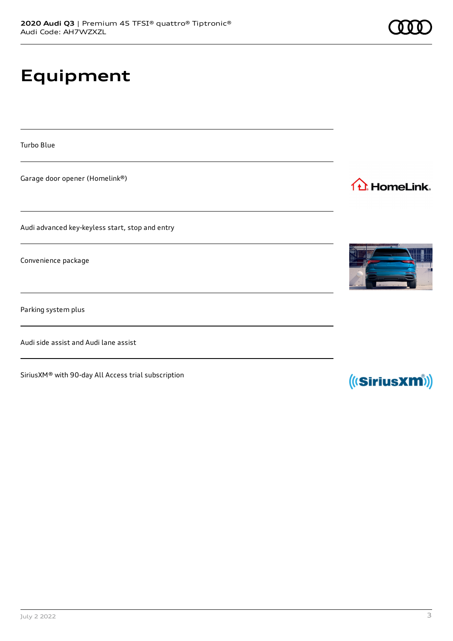# **Equipment**

Turbo Blue

Garage door opener (Homelink®)

Audi advanced key-keyless start, stop and entry

Convenience package

Parking system plus

Audi side assist and Audi lane assist

SiriusXM® with 90-day All Access trial subscription



1<sup>1</sup> HomeLink.



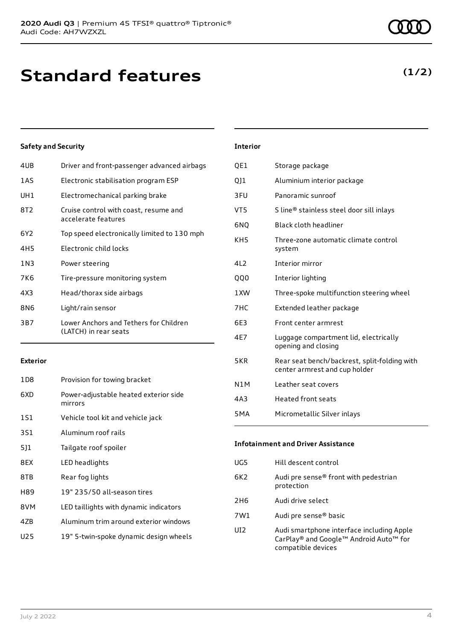## **Safety and Security**

| 4UB             | Driver and front-passenger advanced airbags                     |
|-----------------|-----------------------------------------------------------------|
| 1AS             | Electronic stabilisation program ESP                            |
| UH1             | Electromechanical parking brake                                 |
| 8T <sub>2</sub> | Cruise control with coast, resume and<br>accelerate features    |
| 6Y <sub>2</sub> | Top speed electronically limited to 130 mph                     |
| 4H5             | Electronic child locks                                          |
| 1 N 3           | Power steering                                                  |
| 7K6             | Tire-pressure monitoring system                                 |
| 4X3             | Head/thorax side airbags                                        |
| 8N6             | Light/rain sensor                                               |
| 3B7             | Lower Anchors and Tethers for Children<br>(LATCH) in rear seats |
|                 |                                                                 |

#### **Exterior**

| 1D <sub>8</sub> | Provision for towing bracket                     |
|-----------------|--------------------------------------------------|
| 6XD             | Power-adjustable heated exterior side<br>mirrors |
| 1S1             | Vehicle tool kit and vehicle jack                |
| 3S1             | Aluminum roof rails                              |
| 511             | Tailgate roof spoiler                            |
| 8EX             | LED headlights                                   |
| 8TB             | Rear fog lights                                  |
| H89             | 19" 235/50 all-season tires                      |
| 8VM             | LED taillights with dynamic indicators           |
| 47B             | Aluminum trim around exterior windows            |
| U25             | 19" 5-twin-spoke dynamic design wheels           |
|                 |                                                  |

## **Interior**

| QE1              | Storage package                                                               |
|------------------|-------------------------------------------------------------------------------|
| QJ1              | Aluminium interior package                                                    |
| 3FU              | Panoramic sunroof                                                             |
| VT5              | S line® stainless steel door sill inlays                                      |
| 6NQ              | Black cloth headliner                                                         |
| KH5              | Three-zone automatic climate control<br>system                                |
| 4L2              | Interior mirror                                                               |
| <b>QQ0</b>       | Interior lighting                                                             |
| 1 XW             | Three-spoke multifunction steering wheel                                      |
| 7HC              | Extended leather package                                                      |
| 6E3              | Front center armrest                                                          |
| 4E7              | Luggage compartment lid, electrically<br>opening and closing                  |
| 5KR              | Rear seat bench/backrest, split-folding with<br>center armrest and cup holder |
| N <sub>1</sub> M | Leather seat covers                                                           |
| 4A3              | <b>Heated front seats</b>                                                     |
| 5 <sub>M</sub> A | Micrometallic Silver inlays                                                   |

## **Infotainment and Driver Assistance** UG5 Hill descent control 6K2 Audi pre sense® front with pedestrian protection 2H6 Audi drive select 7W1 Audi pre sense® basic UI2 Audi smartphone interface including Apple CarPlay® and Google™ Android Auto™ for compatible devices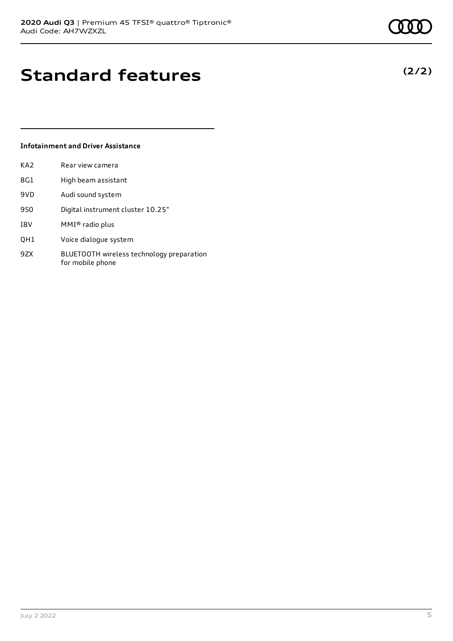**(2/2)**

## **Standard features**

## **Infotainment and Driver Assistance**

| KA2 | Rear view camera                  |
|-----|-----------------------------------|
| 8G1 | High beam assistant               |
| 9VD | Audi sound system                 |
| 9S0 | Digital instrument cluster 10.25" |
| I8V | $MMI®$ radio plus                 |
|     |                                   |

- QH1 Voice dialogue system
- 9ZX BLUETOOTH wireless technology preparation for mobile phone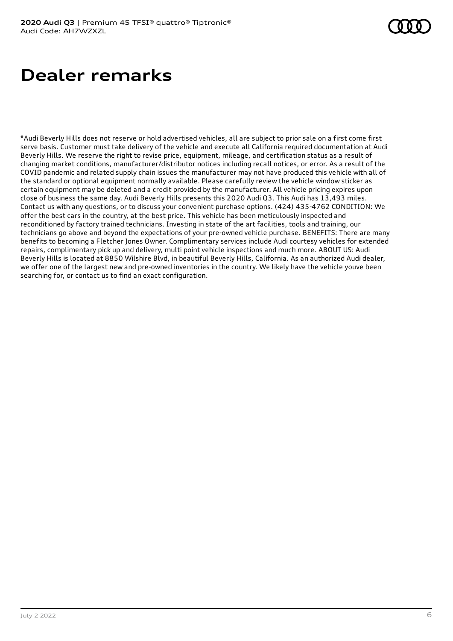# **Dealer remarks**

\*Audi Beverly Hills does not reserve or hold advertised vehicles, all are subject to prior sale on a first come first serve basis. Customer must take delivery of the vehicle and execute all California required documentation at Audi Beverly Hills. We reserve the right to revise price, equipment, mileage, and certification status as a result of changing market conditions, manufacturer/distributor notices including recall notices, or error. As a result of the COVID pandemic and related supply chain issues the manufacturer may not have produced this vehicle with all of the standard or optional equipment normally available. Please carefully review the vehicle window sticker as certain equipment may be deleted and a credit provided by the manufacturer. All vehicle pricing expires upon close of business the same day. Audi Beverly Hills presents this 2020 Audi Q3. This Audi has 13,493 miles. Contact us with any questions, or to discuss your convenient purchase options. (424) 435-4762 CONDITION: We offer the best cars in the country, at the best price. This vehicle has been meticulously inspected and reconditioned by factory trained technicians. Investing in state of the art facilities, tools and training, our technicians go above and beyond the expectations of your pre-owned vehicle purchase. BENEFITS: There are many benefits to becoming a Fletcher Jones Owner. Complimentary services include Audi courtesy vehicles for extended repairs, complimentary pick up and delivery, multi point vehicle inspections and much more. ABOUT US: Audi Beverly Hills is located at 8850 Wilshire Blvd, in beautiful Beverly Hills, California. As an authorized Audi dealer, we offer one of the largest new and pre-owned inventories in the country. We likely have the vehicle youve been searching for, or contact us to find an exact configuration.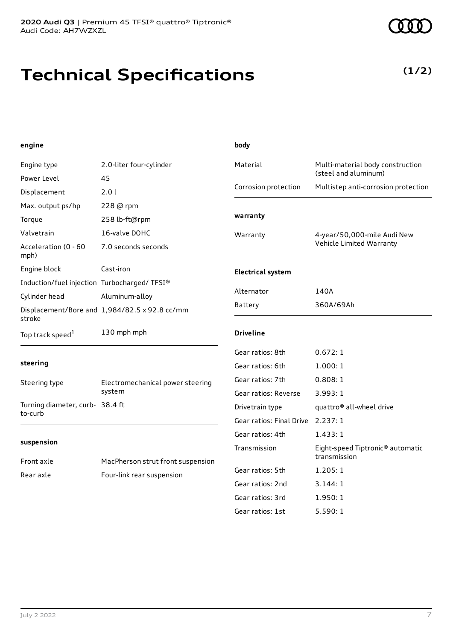# **Technical Specifications**

**(1/2)**

## **engine**

| Engine type                                 | 2.0-liter four-cylinder                       | Material                 | Multi-material body construction<br>(steel and aluminum)     |
|---------------------------------------------|-----------------------------------------------|--------------------------|--------------------------------------------------------------|
| Power Level                                 | 45                                            |                          |                                                              |
| Displacement                                | 2.0 l                                         | Corrosion protection     | Multistep anti-corrosion protection                          |
| Max. output ps/hp                           | 228 @ rpm                                     |                          |                                                              |
| Torque                                      | 258 lb-ft@rpm                                 | warranty                 |                                                              |
| Valvetrain                                  | 16-valve DOHC                                 | Warranty                 | 4-year/50,000-mile Audi New                                  |
| Acceleration (0 - 60<br>mph)                | 7.0 seconds seconds                           |                          | Vehicle Limited Warranty                                     |
| Engine block                                | Cast-iron                                     | <b>Electrical system</b> |                                                              |
| Induction/fuel injection Turbocharged/TFSI® |                                               |                          |                                                              |
| Cylinder head                               | Aluminum-alloy                                | Alternator               | 140A                                                         |
| stroke                                      | Displacement/Bore and 1,984/82.5 x 92.8 cc/mm | Battery                  | 360A/69Ah                                                    |
| Top track speed <sup>1</sup>                | 130 mph mph                                   | <b>Driveline</b>         |                                                              |
|                                             |                                               | Gear ratios: 8th         | 0.672:1                                                      |
| steering                                    |                                               | Gear ratios: 6th         | 1.000:1                                                      |
| Steering type                               | Electromechanical power steering<br>system    | Gear ratios: 7th         | 0.808:1                                                      |
|                                             |                                               | Gear ratios: Reverse     | 3.993:1                                                      |
| Turning diameter, curb- 38.4 ft<br>to-curb  |                                               | Drivetrain type          | quattro <sup>®</sup> all-wheel drive                         |
|                                             |                                               | Gear ratios: Final Drive | 2.237:1                                                      |
|                                             |                                               | Gear ratios: 4th         | 1.433:1                                                      |
| suspension<br>Front axle                    |                                               | Transmission             | Eight-speed Tiptronic <sup>®</sup> automatic<br>transmission |
|                                             | MacPherson strut front suspension             | Gear ratios: 5th         | 1.205:1                                                      |
| Rear axle                                   | Four-link rear suspension                     | Gear ratios: 2nd         | 3.144:1                                                      |
|                                             |                                               | Gear ratios: 3rd         | 1.950:1                                                      |
|                                             |                                               | Gear ratios: 1st         | 5.590:1                                                      |

**body**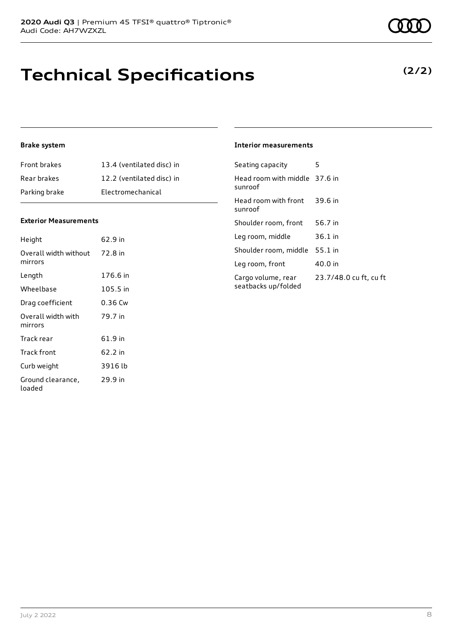## **Technical Specifications**

## **Brake system**

| <b>Front brakes</b> | 13.4 (ventilated disc) in |
|---------------------|---------------------------|
| Rear brakes         | 12.2 (ventilated disc) in |
| Parking brake       | Electromechanical         |

## **Exterior Measurements**

| Height                           | 62.9 in  |
|----------------------------------|----------|
| Overall width without<br>mirrors | 72.8 in  |
| Length                           | 176.6 in |
| Wheelbase                        | 105.5 in |
| Drag coefficient                 | 0.36 Cw  |
| Overall width with<br>mirrors    | 79.7 in  |
| Track rear                       | 61.9 in  |
| Track front                      | 62.2 in  |
| Curb weight                      | 3916 lb  |
| Ground clearance,<br>loaded      | 29.9 in  |

| <b>Interior measurements</b> |  |
|------------------------------|--|
|                              |  |

| Seating capacity                          | 5                      |
|-------------------------------------------|------------------------|
| Head room with middle 37.6 in<br>sunroof  |                        |
| Head room with front<br>sunroof           | 39.6 in                |
| Shoulder room, front                      | 56.7 in                |
| Leg room, middle                          | $36.1$ in              |
| Shoulder room, middle                     | $55.1$ in              |
| Leg room, front                           | 40.0 in                |
| Cargo volume, rear<br>seatbacks up/folded | 23.7/48.0 cu ft, cu ft |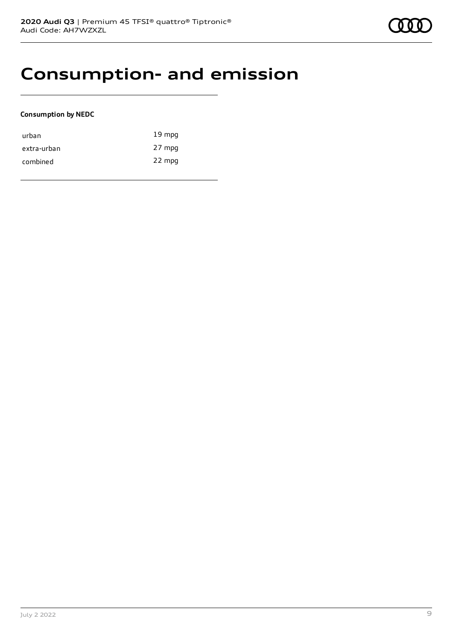## **Consumption- and emission**

## **Consumption by NEDC**

| urban       | $19 \text{ mpg}$ |
|-------------|------------------|
| extra-urban | 27 mpg           |
| combined    | 22 mpg           |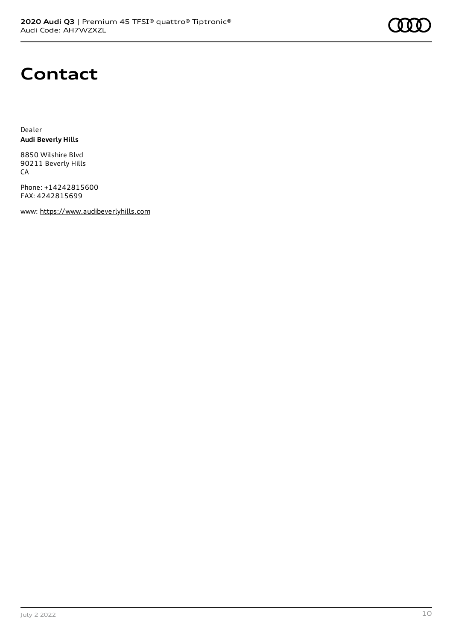

## **Contact**

Dealer **Audi Beverly Hills**

8850 Wilshire Blvd 90211 Beverly Hills CA

Phone: +14242815600 FAX: 4242815699

www: [https://www.audibeverlyhills.com](https://www.audibeverlyhills.com/)